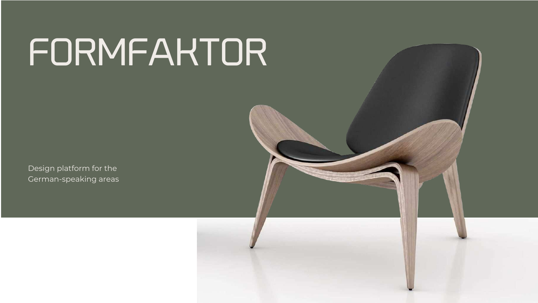Design platform for the German-speaking areas



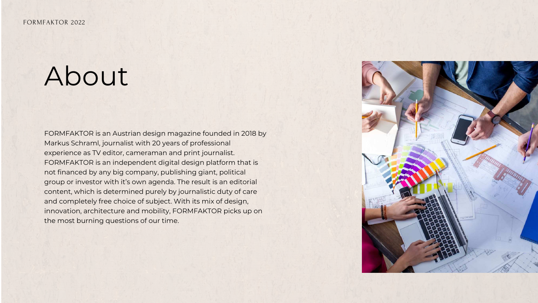### About

FORMFAKTOR is an Austrian design magazine founded in 2018 by Markus Schraml, journalist with 20 years of professional experience as TV editor, cameraman and print journalist. FORMFAKTOR is an independent digital design platform that is not financed by any big company, publishing giant, political group or investor with it's own agenda. The result is an editorial content, which is determined purely by journalistic duty of care and completely free choice of subject. With its mix of design, innovation, architecture and mobility, FORMFAKTOR picks up on the most burning questions of our time.

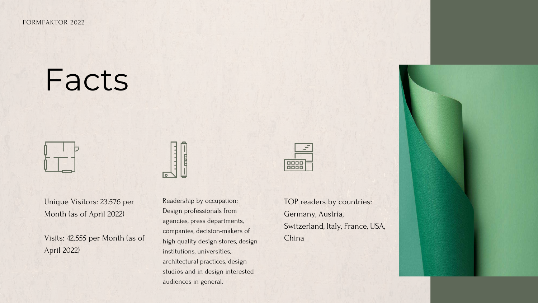## Facts



Unique Visitors: 23.576 per Month (as of April 2022)

Visits: 42.555 per Month (as of April 2022)



Readership by occupation: Design professionals from agencies, press departments, companies, decision-makers of high quality design stores, design institutions, universities, architectural practices, design studios and in design interested audiences in general.



TOP readers by countries: Germany, Austria, Switzerland, Italy, France, USA, China



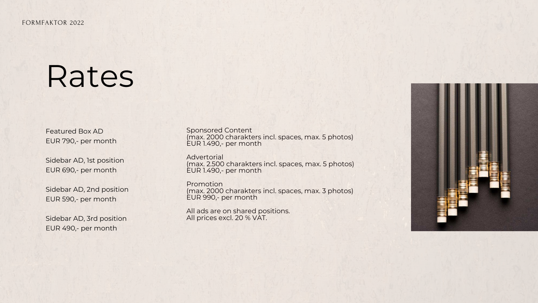Featured Box AD EUR 790,- per month

Sidebar AD, 1st position EUR 690,- per month

Sidebar AD, 2nd position EUR 590,- per month

Sidebar AD, 3rd position EUR 490,- per month

### Rates

Sponsored Content (max. 2000 charakters incl. spaces, max. 5 photos) EUR 1.490,- per month

Advertorial (max. 2.500 charakters incl. spaces, max. 5 photos) EUR 1.490,- per month

Promotion (max. 2000 charakters incl. spaces, max. 3 photos) EUR 990,- per month

All ads are on shared positions. All prices excl. 20 % VAT.